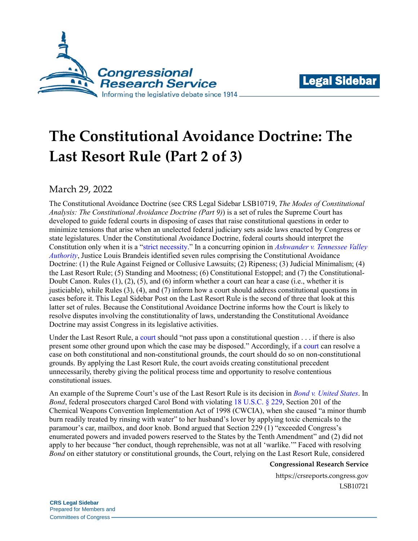



## **The Constitutional Avoidance Doctrine: The Last Resort Rule (Part 2 of 3)**

March 29, 2022

The Constitutional Avoidance Doctrine (see CRS Legal Sidebar LSB10719, *[The Modes of Constitutional](https://crsreports.congress.gov/product/pdf/LSB/LSB10719)  [Analysis: The Constitutional Avoidance Doctrine \(Part 9\)](https://crsreports.congress.gov/product/pdf/LSB/LSB10719)*) is a set of rules the Supreme Court has developed to guide federal courts in disposing of cases that raise constitutional questions in order to minimize tensions that arise when an unelected federal judiciary sets aside laws enacted by Congress or state legislatures. Under the Constitutional Avoidance Doctrine, federal courts should interpret the Constitution only when it is a ["strict necessity.](https://tile.loc.gov/storage-services/service/ll/usrep/usrep331/usrep331549/usrep331549.pdf)" In a concurring opinion in *[Ashwander v. Tennessee Valley](https://tile.loc.gov/storage-services/service/ll/usrep/usrep297/usrep297288/usrep297288.pdf)  [Authority](https://tile.loc.gov/storage-services/service/ll/usrep/usrep297/usrep297288/usrep297288.pdf)*, Justice Louis Brandeis identified seven rules comprising the Constitutional Avoidance Doctrine: (1) the Rule Against Feigned or Collusive Lawsuits; (2) Ripeness; (3) Judicial Minimalism; (4) the Last Resort Rule; (5) Standing and Mootness; (6) Constitutional Estoppel; and (7) the Constitutional-Doubt Canon. Rules (1), (2), (5), and (6) inform whether a court can hear a case (i.e., whether it is justiciable), while Rules (3), (4), and (7) inform how a court should address constitutional questions in cases before it. This Legal Sidebar Post on the Last Resort Rule is the second of three that look at this latter set of rules. Because the Constitutional Avoidance Doctrine informs how the Court is likely to resolve disputes involving the constitutionality of laws, understanding the Constitutional Avoidance Doctrine may assist Congress in its legislative activities.

Under the Last Resort Rule, a [court](https://tile.loc.gov/storage-services/service/ll/usrep/usrep297/usrep297288/usrep297288.pdf) should "not pass upon a constitutional question . . . if there is also present some other ground upon which the case may be disposed." Accordingly, if a [court](https://tile.loc.gov/storage-services/service/ll/usrep/usrep211/usrep211045/usrep211045.pdf) can resolve a case on both constitutional and non-constitutional grounds, the court should do so on non-constitutional grounds. By applying the Last Resort Rule, the court avoids creating constitutional precedent unnecessarily, thereby giving the political process time and opportunity to resolve contentious constitutional issues.

An example of the Supreme Court's use of the Last Resort Rule is its decision in *[Bond v. United States](https://cite.case.law/us/572/844/)*. In *Bond*, federal prosecutors charged Carol Bond with violating [18 U.S.C. § 229,](http://uscode.house.gov/view.xhtml?req=(title:18%20section:229%20edition:prelim)%20OR%20(granuleid:USC-prelim-title18-section229)&f=treesort&edition=prelim&num=0&jumpTo=true) Section 201 of the Chemical Weapons Convention Implementation Act of 1998 (CWCIA), when she caused "a minor thumb burn readily treated by rinsing with water" to her husband's lover by applying toxic chemicals to the paramour's car, mailbox, and door knob. Bond argued that Section 229 (1) "exceeded Congress's enumerated powers and invaded powers reserved to the States by the Tenth Amendment" and (2) did not apply to her because "her conduct, though reprehensible, was not at all 'warlike.'" Faced with resolving *Bond* on either statutory or constitutional grounds, the Court, relying on the Last Resort Rule, considered

## **Congressional Research Service**

https://crsreports.congress.gov LSB10721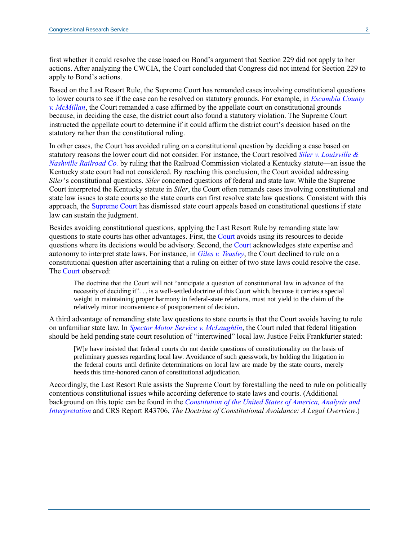first whether it could resolve the case based on Bond's argument that Section 229 did not apply to her actions. After analyzing the CWCIA, the Court concluded that Congress did not intend for Section 229 to apply to Bond's actions.

Based on the Last Resort Rule, the Supreme Court has remanded cases involving constitutional questions to lower courts to see if the case can be resolved on statutory grounds. For example, in *[Escambia County](https://tile.loc.gov/storage-services/service/ll/usrep/usrep466/usrep466048/usrep466048.pdf)  [v. McMillan](https://tile.loc.gov/storage-services/service/ll/usrep/usrep466/usrep466048/usrep466048.pdf)*, the Court remanded a case affirmed by the appellate court on constitutional grounds because, in deciding the case, the district court also found a statutory violation. The Supreme Court instructed the appellate court to determine if it could affirm the district court's decision based on the statutory rather than the constitutional ruling.

In other cases, the Court has avoided ruling on a constitutional question by deciding a case based on statutory reasons the lower court did not consider. For instance, the Court resolved *[Siler v. Louisville &](https://tile.loc.gov/storage-services/service/ll/usrep/usrep213/usrep213175/usrep213175.pdf)  [Nashville Railroad Co.](https://tile.loc.gov/storage-services/service/ll/usrep/usrep213/usrep213175/usrep213175.pdf)* by ruling that the Railroad Commission violated a Kentucky statute—an issue the Kentucky state court had not considered. By reaching this conclusion, the Court avoided addressing *Siler*'s constitutional questions. *Siler* concerned questions of federal and state law. While the Supreme Court interpreted the Kentucky statute in *Siler*, the Court often remands cases involving constitutional and state law issues to state courts so the state courts can first resolve state law questions. Consistent with this approach, the [Supreme Court](https://tile.loc.gov/storage-services/service/ll/usrep/usrep211/usrep211045/usrep211045.pdf) has dismissed state court appeals based on constitutional questions if state law can sustain the judgment.

Besides avoiding constitutional questions, applying the Last Resort Rule by remanding state law questions to state courts has other advantages. First, the [Court](https://tile.loc.gov/storage-services/service/ll/usrep/usrep463/usrep4631032/usrep4631032.pdf) avoids using its resources to decide questions where its decisions would be advisory. Second, the [Court](https://tile.loc.gov/storage-services/service/ll/usrep/usrep193/usrep193146/usrep193146.pdf) acknowledges state expertise and autonomy to interpret state laws. For instance, in *[Giles v. Teasley](https://tile.loc.gov/storage-services/service/ll/usrep/usrep193/usrep193146/usrep193146.pdf)*, the Court declined to rule on a constitutional question after ascertaining that a ruling on either of two state laws could resolve the case. The [Court](https://tile.loc.gov/storage-services/service/ll/usrep/usrep193/usrep193146/usrep193146.pdf) observed:

The doctrine that the Court will not "anticipate a question of constitutional law in advance of the necessity of deciding it". . . is a well-settled doctrine of this Court which, because it carries a special weight in maintaining proper harmony in federal-state relations, must not yield to the claim of the relatively minor inconvenience of postponement of decision.

A third advantage of remanding state law questions to state courts is that the Court avoids having to rule on unfamiliar state law. In *[Spector Motor Service v. McLaughlin](https://tile.loc.gov/storage-services/service/ll/usrep/usrep323/usrep323101/usrep323101.pdf)*, the Court ruled that federal litigation should be held pending state court resolution of "intertwined" local law. Justice Felix Frankfurter stated:

[W]e have insisted that federal courts do not decide questions of constitutionality on the basis of preliminary guesses regarding local law. Avoidance of such guesswork, by holding the litigation in the federal courts until definite determinations on local law are made by the state courts, merely heeds this time-honored canon of constitutional adjudication.

Accordingly, the Last Resort Rule assists the Supreme Court by forestalling the need to rule on politically contentious constitutional issues while according deference to state laws and courts. (Additional background on this topic can be found in the *[Constitution of the United States of America, Analysis and](https://constitution.congress.gov/browse/essay/artIII-S2-C1-2-9/ALDE_00001210/)  [Interpretation](https://constitution.congress.gov/browse/essay/artIII-S2-C1-2-9/ALDE_00001210/)* and CRS Report R43706, *[The Doctrine of Constitutional Avoidance: A Legal Overview](https://crsreports.congress.gov/product/pdf/R/R43706)*.)